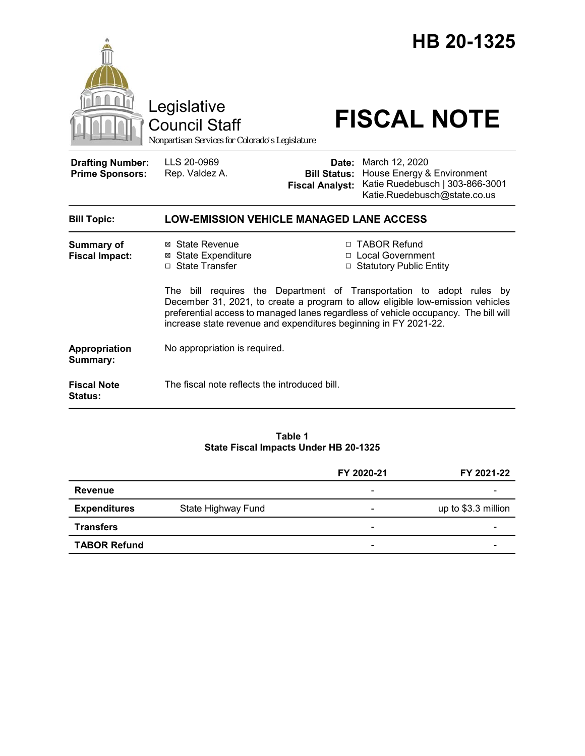

#### **Table 1 State Fiscal Impacts Under HB 20-1325**

|                     |                    | FY 2020-21               | FY 2021-22          |
|---------------------|--------------------|--------------------------|---------------------|
| <b>Revenue</b>      |                    | -                        |                     |
| <b>Expenditures</b> | State Highway Fund | $\overline{\phantom{0}}$ | up to \$3.3 million |
| <b>Transfers</b>    |                    | -                        |                     |
| <b>TABOR Refund</b> |                    | -                        |                     |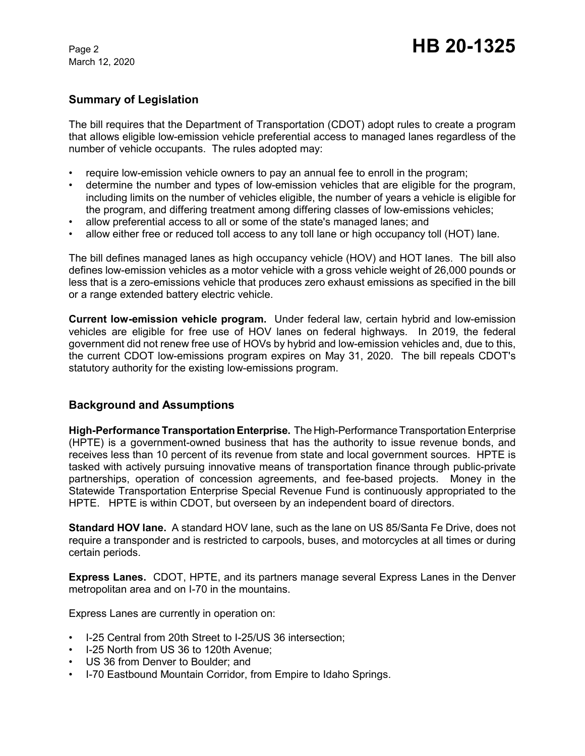## **Summary of Legislation**

The bill requires that the Department of Transportation (CDOT) adopt rules to create a program that allows eligible low-emission vehicle preferential access to managed lanes regardless of the number of vehicle occupants. The rules adopted may:

- require low-emission vehicle owners to pay an annual fee to enroll in the program;
- determine the number and types of low-emission vehicles that are eligible for the program, including limits on the number of vehicles eligible, the number of years a vehicle is eligible for the program, and differing treatment among differing classes of low-emissions vehicles;
- allow preferential access to all or some of the state's managed lanes; and
- allow either free or reduced toll access to any toll lane or high occupancy toll (HOT) lane.

The bill defines managed lanes as high occupancy vehicle (HOV) and HOT lanes. The bill also defines low-emission vehicles as a motor vehicle with a gross vehicle weight of 26,000 pounds or less that is a zero-emissions vehicle that produces zero exhaust emissions as specified in the bill or a range extended battery electric vehicle.

**Current low-emission vehicle program.** Under federal law, certain hybrid and low-emission vehicles are eligible for free use of HOV lanes on federal highways. In 2019, the federal government did not renew free use of HOVs by hybrid and low-emission vehicles and, due to this, the current CDOT low-emissions program expires on May 31, 2020. The bill repeals CDOT's statutory authority for the existing low-emissions program.

# **Background and Assumptions**

**High-Performance Transportation Enterprise.** The High-Performance Transportation Enterprise (HPTE) is a government-owned business that has the authority to issue revenue bonds, and receives less than 10 percent of its revenue from state and local government sources. HPTE is tasked with actively pursuing innovative means of transportation finance through public-private partnerships, operation of concession agreements, and fee-based projects. Money in the Statewide Transportation Enterprise Special Revenue Fund is continuously appropriated to the HPTE. HPTE is within CDOT, but overseen by an independent board of directors.

**Standard HOV lane.** A standard HOV lane, such as the lane on US 85/Santa Fe Drive, does not require a transponder and is restricted to carpools, buses, and motorcycles at all times or during certain periods.

**Express Lanes.** CDOT, HPTE, and its partners manage several Express Lanes in the Denver metropolitan area and on I-70 in the mountains.

Express Lanes are currently in operation on:

- I-25 Central from 20th Street to I-25/US 36 intersection;
- I-25 North from US 36 to 120th Avenue;
- US 36 from Denver to Boulder; and
- I-70 Eastbound Mountain Corridor, from Empire to Idaho Springs.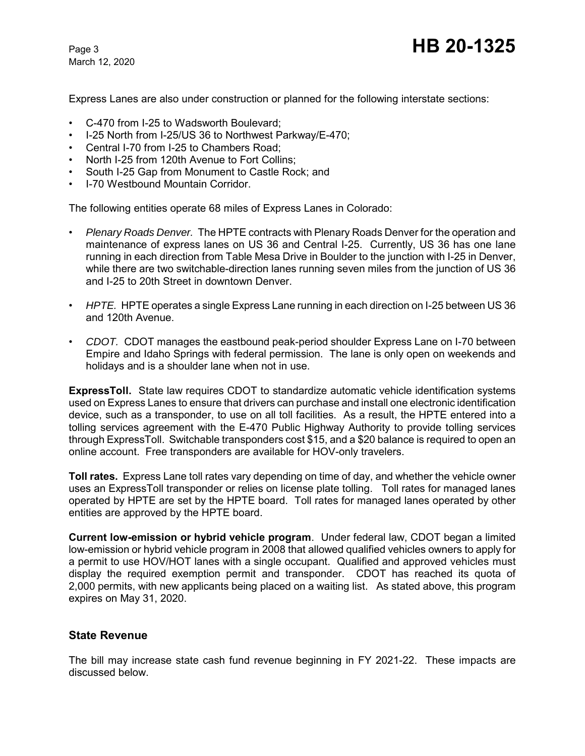Express Lanes are also under construction or planned for the following interstate sections:

- C-470 from I-25 to Wadsworth Boulevard;
- I-25 North from I-25/US 36 to Northwest Parkway/E-470;
- Central I-70 from I-25 to Chambers Road;
- North I-25 from 120th Avenue to Fort Collins;
- South I-25 Gap from Monument to Castle Rock; and
- I-70 Westbound Mountain Corridor.

The following entities operate 68 miles of Express Lanes in Colorado:

- *Plenary Roads Denver.* The HPTE contracts with Plenary Roads Denver for the operation and maintenance of express lanes on US 36 and Central I-25. Currently, US 36 has one lane running in each direction from Table Mesa Drive in Boulder to the junction with I-25 in Denver, while there are two switchable-direction lanes running seven miles from the junction of US 36 and I-25 to 20th Street in downtown Denver.
- *HPTE.* HPTE operates a single Express Lane running in each direction on I-25 between US 36 and 120th Avenue.
- *CDOT.* CDOT manages the eastbound peak-period shoulder Express Lane on I-70 between Empire and Idaho Springs with federal permission. The lane is only open on weekends and holidays and is a shoulder lane when not in use.

**ExpressToll.** State law requires CDOT to standardize automatic vehicle identification systems used on Express Lanes to ensure that drivers can purchase and install one electronic identification device, such as a transponder, to use on all toll facilities. As a result, the HPTE entered into a tolling services agreement with the E-470 Public Highway Authority to provide tolling services through ExpressToll. Switchable transponders cost \$15, and a \$20 balance is required to open an online account. Free transponders are available for HOV-only travelers.

**Toll rates.** Express Lane toll rates vary depending on time of day, and whether the vehicle owner uses an ExpressToll transponder or relies on license plate tolling. Toll rates for managed lanes operated by HPTE are set by the HPTE board. Toll rates for managed lanes operated by other entities are approved by the HPTE board.

**Current low-emission or hybrid vehicle program**.Under federal law, CDOT began a limited low-emission or hybrid vehicle program in 2008 that allowed qualified vehicles owners to apply for a permit to use HOV/HOT lanes with a single occupant. Qualified and approved vehicles must display the required exemption permit and transponder. CDOT has reached its quota of 2,000 permits, with new applicants being placed on a waiting list. As stated above, this program expires on May 31, 2020.

#### **State Revenue**

The bill may increase state cash fund revenue beginning in FY 2021-22. These impacts are discussed below.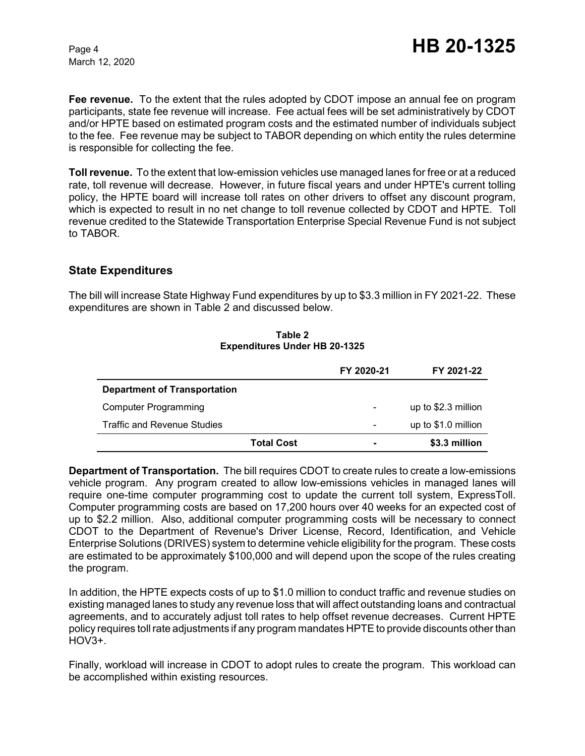**Fee revenue.** To the extent that the rules adopted by CDOT impose an annual fee on program participants, state fee revenue will increase. Fee actual fees will be set administratively by CDOT and/or HPTE based on estimated program costs and the estimated number of individuals subject to the fee. Fee revenue may be subject to TABOR depending on which entity the rules determine is responsible for collecting the fee.

**Toll revenue.** To the extent that low-emission vehicles use managed lanes for free or at a reduced rate, toll revenue will decrease. However, in future fiscal years and under HPTE's current tolling policy, the HPTE board will increase toll rates on other drivers to offset any discount program, which is expected to result in no net change to toll revenue collected by CDOT and HPTE. Toll revenue credited to the Statewide Transportation Enterprise Special Revenue Fund is not subject to TABOR.

#### **State Expenditures**

The bill will increase State Highway Fund expenditures by up to \$3.3 million in FY 2021-22. These expenditures are shown in Table 2 and discussed below.

|                                     | FY 2020-21               | FY 2021-22          |
|-------------------------------------|--------------------------|---------------------|
| <b>Department of Transportation</b> |                          |                     |
| Computer Programming                |                          | up to \$2.3 million |
| <b>Traffic and Revenue Studies</b>  | $\overline{\phantom{a}}$ | up to \$1.0 million |
| <b>Total Cost</b>                   |                          | \$3.3 million       |

**Table 2 Expenditures Under HB 20-1325**

**Department of Transportation.** The bill requires CDOT to create rules to create a low-emissions vehicle program. Any program created to allow low-emissions vehicles in managed lanes will require one-time computer programming cost to update the current toll system, ExpressToll. Computer programming costs are based on 17,200 hours over 40 weeks for an expected cost of up to \$2.2 million. Also, additional computer programming costs will be necessary to connect CDOT to the Department of Revenue's Driver License, Record, Identification, and Vehicle Enterprise Solutions (DRIVES) system to determine vehicle eligibility for the program. These costs are estimated to be approximately \$100,000 and will depend upon the scope of the rules creating the program.

In addition, the HPTE expects costs of up to \$1.0 million to conduct traffic and revenue studies on existing managed lanes to study any revenue loss that will affect outstanding loans and contractual agreements, and to accurately adjust toll rates to help offset revenue decreases. Current HPTE policy requires toll rate adjustments if any program mandates HPTE to provide discounts other than HOV3+.

Finally, workload will increase in CDOT to adopt rules to create the program. This workload can be accomplished within existing resources.